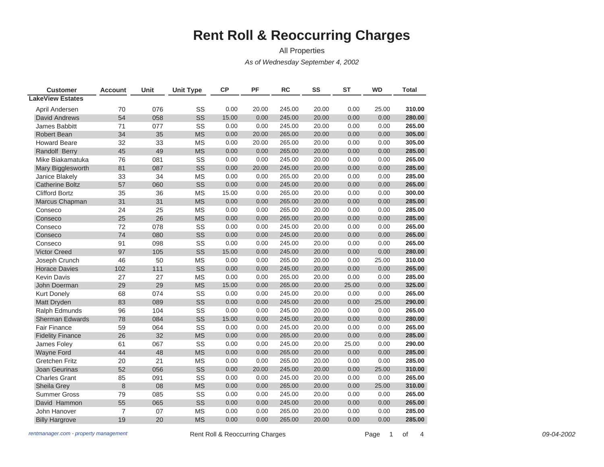## **Rent Roll & Reoccurring Charges**

All Properties

*As of Wednesday September 4, 2002*

| <b>Customer</b>         | <b>Account</b> | Unit | <b>Unit Type</b> | <b>CP</b> | PF    | <b>RC</b> | SS    | <b>ST</b> | <b>WD</b> | <b>Total</b> |
|-------------------------|----------------|------|------------------|-----------|-------|-----------|-------|-----------|-----------|--------------|
| <b>LakeView Estates</b> |                |      |                  |           |       |           |       |           |           |              |
| April Andersen          | 70             | 076  | SS               | 0.00      | 20.00 | 245.00    | 20.00 | 0.00      | 25.00     | 310.00       |
| <b>David Andrews</b>    | 54             | 058  | SS               | 15.00     | 0.00  | 245.00    | 20.00 | 0.00      | 0.00      | 280.00       |
| James Babbitt           | 71             | 077  | SS               | 0.00      | 0.00  | 245.00    | 20.00 | 0.00      | 0.00      | 265.00       |
| Robert Bean             | 34             | 35   | <b>MS</b>        | 0.00      | 20.00 | 265.00    | 20.00 | 0.00      | 0.00      | 305.00       |
| <b>Howard Beare</b>     | 32             | 33   | <b>MS</b>        | 0.00      | 20.00 | 265.00    | 20.00 | 0.00      | 0.00      | 305.00       |
| Randolf Berry           | 45             | 49   | <b>MS</b>        | 0.00      | 0.00  | 265.00    | 20.00 | 0.00      | 0.00      | 285.00       |
| Mike Biakamatuka        | 76             | 081  | SS               | 0.00      | 0.00  | 245.00    | 20.00 | 0.00      | 0.00      | 265.00       |
| Mary Bigglesworth       | 81             | 087  | SS               | 0.00      | 20.00 | 245.00    | 20.00 | 0.00      | 0.00      | 285.00       |
| Janice Blakely          | 33             | 34   | <b>MS</b>        | 0.00      | 0.00  | 265.00    | 20.00 | 0.00      | 0.00      | 285.00       |
| <b>Catherine Boltz</b>  | 57             | 060  | SS               | 0.00      | 0.00  | 245.00    | 20.00 | 0.00      | 0.00      | 265.00       |
| <b>Clifford Bortz</b>   | 35             | 36   | <b>MS</b>        | 15.00     | 0.00  | 265.00    | 20.00 | 0.00      | 0.00      | 300.00       |
| Marcus Chapman          | 31             | 31   | <b>MS</b>        | 0.00      | 0.00  | 265.00    | 20.00 | 0.00      | 0.00      | 285.00       |
| Conseco                 | 24             | 25   | <b>MS</b>        | 0.00      | 0.00  | 265.00    | 20.00 | 0.00      | 0.00      | 285.00       |
| Conseco                 | 25             | 26   | <b>MS</b>        | 0.00      | 0.00  | 265.00    | 20.00 | 0.00      | 0.00      | 285.00       |
| Conseco                 | 72             | 078  | SS               | 0.00      | 0.00  | 245.00    | 20.00 | 0.00      | 0.00      | 265.00       |
| Conseco                 | 74             | 080  | SS               | 0.00      | 0.00  | 245.00    | 20.00 | 0.00      | 0.00      | 265.00       |
| Conseco                 | 91             | 098  | SS               | 0.00      | 0.00  | 245.00    | 20.00 | 0.00      | 0.00      | 265.00       |
| <b>Victor Creed</b>     | 97             | 105  | SS               | 15.00     | 0.00  | 245.00    | 20.00 | 0.00      | 0.00      | 280.00       |
| Joseph Crunch           | 46             | 50   | <b>MS</b>        | 0.00      | 0.00  | 265.00    | 20.00 | 0.00      | 25.00     | 310.00       |
| <b>Horace Davies</b>    | 102            | 111  | SS               | 0.00      | 0.00  | 245.00    | 20.00 | 0.00      | 0.00      | 265.00       |
| <b>Kevin Davis</b>      | 27             | 27   | <b>MS</b>        | 0.00      | 0.00  | 265.00    | 20.00 | 0.00      | 0.00      | 285.00       |
| John Doerman            | 29             | 29   | <b>MS</b>        | 15.00     | 0.00  | 265.00    | 20.00 | 25.00     | 0.00      | 325.00       |
| <b>Kurt Donely</b>      | 68             | 074  | SS               | 0.00      | 0.00  | 245.00    | 20.00 | 0.00      | 0.00      | 265.00       |
| Matt Dryden             | 83             | 089  | SS               | 0.00      | 0.00  | 245.00    | 20.00 | 0.00      | 25.00     | 290.00       |
| Ralph Edmunds           | 96             | 104  | SS               | 0.00      | 0.00  | 245.00    | 20.00 | 0.00      | 0.00      | 265.00       |
| <b>Sherman Edwards</b>  | 78             | 084  | SS               | 15.00     | 0.00  | 245.00    | 20.00 | 0.00      | 0.00      | 280.00       |
| <b>Fair Finance</b>     | 59             | 064  | SS               | 0.00      | 0.00  | 245.00    | 20.00 | 0.00      | 0.00      | 265.00       |
| <b>Fidelity Finance</b> | 26             | 32   | <b>MS</b>        | 0.00      | 0.00  | 265.00    | 20.00 | 0.00      | 0.00      | 285.00       |
| James Foley             | 61             | 067  | SS               | 0.00      | 0.00  | 245.00    | 20.00 | 25.00     | 0.00      | 290.00       |
| Wayne Ford              | 44             | 48   | <b>MS</b>        | 0.00      | 0.00  | 265.00    | 20.00 | 0.00      | 0.00      | 285.00       |
| <b>Gretchen Fritz</b>   | 20             | 21   | <b>MS</b>        | 0.00      | 0.00  | 265.00    | 20.00 | 0.00      | 0.00      | 285.00       |
| Joan Geurinas           | 52             | 056  | SS               | 0.00      | 20.00 | 245.00    | 20.00 | 0.00      | 25.00     | 310.00       |
| <b>Charles Grant</b>    | 85             | 091  | SS               | 0.00      | 0.00  | 245.00    | 20.00 | 0.00      | 0.00      | 265.00       |
| Sheila Grey             | 8              | 08   | <b>MS</b>        | 0.00      | 0.00  | 265.00    | 20.00 | 0.00      | 25.00     | 310.00       |
| <b>Summer Gross</b>     | 79             | 085  | SS               | 0.00      | 0.00  | 245.00    | 20.00 | 0.00      | 0.00      | 265.00       |
| David Hammon            | 55             | 065  | SS               | 0.00      | 0.00  | 245.00    | 20.00 | 0.00      | 0.00      | 265.00       |
| John Hanover            | $\overline{7}$ | 07   | <b>MS</b>        | 0.00      | 0.00  | 265.00    | 20.00 | 0.00      | 0.00      | 285.00       |
| <b>Billy Hargrove</b>   | 19             | 20   | <b>MS</b>        | 0.00      | 0.00  | 265.00    | 20.00 | 0.00      | 0.00      | 285.00       |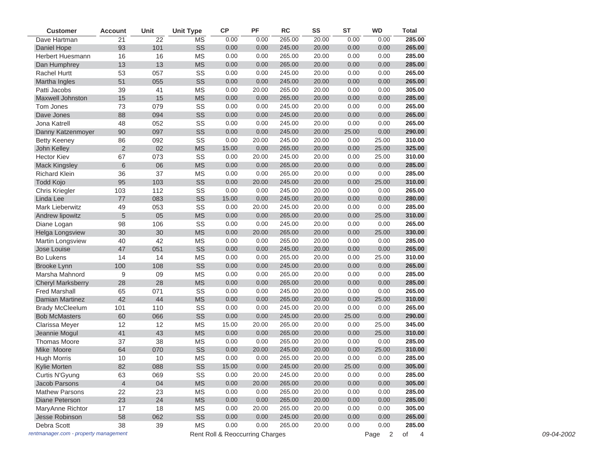| <b>Customer</b>                       | <b>Account</b> | Unit            | <b>Unit Type</b>       | ${\sf CP}$                      | PF    | <b>RC</b> | SS    | <b>ST</b> | <b>WD</b> | <b>Total</b>         |
|---------------------------------------|----------------|-----------------|------------------------|---------------------------------|-------|-----------|-------|-----------|-----------|----------------------|
| Dave Hartman                          | 21             | $\overline{22}$ | $\overline{\text{MS}}$ | 0.00                            | 0.00  | 265.00    | 20.00 | 0.00      | 0.00      | 285.00               |
| Daniel Hope                           | 93             | 101             | SS                     | 0.00                            | 0.00  | 245.00    | 20.00 | 0.00      | 0.00      | 265.00               |
| Herbert Huesmann                      | 16             | 16              | <b>MS</b>              | 0.00                            | 0.00  | 265.00    | 20.00 | 0.00      | 0.00      | 285.00               |
| Dan Humphrey                          | 13             | 13              | <b>MS</b>              | 0.00                            | 0.00  | 265.00    | 20.00 | 0.00      | 0.00      | 285.00               |
| Rachel Hurtt                          | 53             | 057             | SS                     | 0.00                            | 0.00  | 245.00    | 20.00 | 0.00      | 0.00      | 265.00               |
| Martha Ingles                         | 51             | 055             | SS                     | 0.00                            | 0.00  | 245.00    | 20.00 | 0.00      | 0.00      | 265.00               |
| Patti Jacobs                          | 39             | 41              | <b>MS</b>              | 0.00                            | 20.00 | 265.00    | 20.00 | 0.00      | 0.00      | 305.00               |
| Maxwell Johnston                      | 15             | 15              | <b>MS</b>              | 0.00                            | 0.00  | 265.00    | 20.00 | 0.00      | 0.00      | 285.00               |
| Tom Jones                             | 73             | 079             | SS                     | 0.00                            | 0.00  | 245.00    | 20.00 | 0.00      | 0.00      | 265.00               |
| Dave Jones                            | 88             | 094             | SS                     | 0.00                            | 0.00  | 245.00    | 20.00 | 0.00      | 0.00      | 265.00               |
| Jona Katrell                          | 48             | 052             | SS                     | 0.00                            | 0.00  | 245.00    | 20.00 | 0.00      | 0.00      | 265.00               |
| Danny Katzenmoyer                     | 90             | 097             | SS                     | 0.00                            | 0.00  | 245.00    | 20.00 | 25.00     | 0.00      | 290.00               |
| <b>Betty Keeney</b>                   | 86             | 092             | SS                     | 0.00                            | 20.00 | 245.00    | 20.00 | 0.00      | 25.00     | 310.00               |
| John Kelley                           | $\overline{2}$ | 02              | <b>MS</b>              | 15.00                           | 0.00  | 265.00    | 20.00 | 0.00      | 25.00     | 325.00               |
| <b>Hector Kiev</b>                    | 67             | 073             | SS                     | 0.00                            | 20.00 | 245.00    | 20.00 | 0.00      | 25.00     | 310.00               |
| <b>Mack Kingsley</b>                  | $\,$ 6 $\,$    | 06              | <b>MS</b>              | 0.00                            | 0.00  | 265.00    | 20.00 | 0.00      | 0.00      | 285.00               |
| <b>Richard Klein</b>                  | 36             | 37              | <b>MS</b>              | 0.00                            | 0.00  | 265.00    | 20.00 | 0.00      | 0.00      | 285.00               |
| <b>Todd Kojo</b>                      | 95             | 103             | SS                     | 0.00                            | 20.00 | 245.00    | 20.00 | 0.00      | 25.00     | 310.00               |
| <b>Chris Kriegler</b>                 | 103            | 112             | SS                     | 0.00                            | 0.00  | 245.00    | 20.00 | 0.00      | 0.00      | 265.00               |
| Linda Lee                             | 77             | 083             | SS                     | 15.00                           | 0.00  | 245.00    | 20.00 | 0.00      | 0.00      | 280.00               |
| Mark Lieberwitz                       | 49             | 053             | SS                     | 0.00                            | 20.00 | 245.00    | 20.00 | 0.00      | 0.00      | 285.00               |
| Andrew lipowitz                       | $\sqrt{5}$     | 05              | <b>MS</b>              | 0.00                            | 0.00  | 265.00    | 20.00 | 0.00      | 25.00     | 310.00               |
| Diane Logan                           | 98             | 106             | SS                     | 0.00                            | 0.00  | 245.00    | 20.00 | 0.00      | 0.00      | 265.00               |
| <b>Helga Longsview</b>                | 30             | 30              | <b>MS</b>              | 0.00                            | 20.00 | 265.00    | 20.00 | 0.00      | 25.00     | 330.00               |
| Martin Longsview                      | 40             | 42              | <b>MS</b>              | 0.00                            | 0.00  | 265.00    | 20.00 | 0.00      | 0.00      | 285.00               |
| Jose Louise                           | 47             | 051             | SS                     | 0.00                            | 0.00  | 245.00    | 20.00 | 0.00      | 0.00      | 265.00               |
| Bo Lukens                             | 14             | 14              | <b>MS</b>              | 0.00                            | 0.00  | 265.00    | 20.00 | 0.00      | 25.00     | 310.00               |
| <b>Brooke Lynn</b>                    | 100            | 108             | SS                     | 0.00                            | 0.00  | 245.00    | 20.00 | 0.00      | 0.00      | 265.00               |
| Marsha Mahnord                        | 9              | 09              | <b>MS</b>              | 0.00                            | 0.00  | 265.00    | 20.00 | 0.00      | 0.00      | 285.00               |
| <b>Cheryl Marksberry</b>              | 28             | 28              | <b>MS</b>              | 0.00                            | 0.00  | 265.00    | 20.00 | 0.00      | 0.00      | 285.00               |
| <b>Fred Marshall</b>                  | 65             | 071             | SS                     | 0.00                            | 0.00  | 245.00    | 20.00 | 0.00      | 0.00      | 265.00               |
| <b>Damian Martinez</b>                | 42             | 44              | <b>MS</b>              | 0.00                            | 0.00  | 265.00    | 20.00 | 0.00      | 25.00     | 310.00               |
| <b>Brady McCleelum</b>                | 101            | 110             | SS                     | 0.00                            | 0.00  | 245.00    | 20.00 | 0.00      | 0.00      | 265.00               |
| <b>Bob McMasters</b>                  | 60             | 066             | SS                     | 0.00                            | 0.00  | 245.00    | 20.00 | 25.00     | 0.00      | 290.00               |
| Clarissa Meyer                        | 12             | 12              | <b>MS</b>              | 15.00                           | 20.00 | 265.00    | 20.00 | 0.00      | 25.00     | 345.00               |
| Jeannie Mogul                         | 41             | 43              | <b>MS</b>              | 0.00                            | 0.00  | 265.00    | 20.00 | 0.00      | 25.00     | 310.00               |
| <b>Thomas Moore</b>                   | 37             | 38              | <b>MS</b>              | 0.00                            | 0.00  | 265.00    | 20.00 | 0.00      | 0.00      | 285.00               |
| Mike Moore                            | 64             | 070             | SS                     | 0.00                            | 20.00 | 245.00    | 20.00 | 0.00      | 25.00     | 310.00               |
| <b>Hugh Morris</b>                    | 10             | 10              | <b>MS</b>              | 0.00                            | 0.00  | 265.00    | 20.00 | 0.00      | 0.00      | 285.00               |
| Kylie Morten                          | 82             | 088             | SS                     | 15.00                           | 0.00  | 245.00    | 20.00 | 25.00     | 0.00      | 305.00               |
| Curtis N'Gyung                        | 63             | 069             | SS                     | 0.00                            | 20.00 | 245.00    | 20.00 | 0.00      | 0.00      | 285.00               |
| Jacob Parsons                         | $\overline{4}$ | 04              | <b>MS</b>              | 0.00                            | 20.00 | 265.00    | 20.00 | 0.00      | 0.00      | 305.00               |
| <b>Mathew Parsons</b>                 | 22             | 23              | <b>MS</b>              | 0.00                            | 0.00  | 265.00    | 20.00 | 0.00      | 0.00      | 285.00               |
| Diane Peterson                        | 23             | 24              | <b>MS</b>              | 0.00                            | 0.00  | 265.00    | 20.00 | 0.00      | 0.00      | 285.00               |
| MaryAnne Richtor                      | 17             | 18              | ΜS                     | 0.00                            | 20.00 | 265.00    | 20.00 | 0.00      | 0.00      | 305.00               |
|                                       |                |                 |                        |                                 |       | 245.00    |       |           |           |                      |
| Jesse Robinson                        | 58             | 062             | SS                     | 0.00                            | 0.00  |           | 20.00 | 0.00      | 0.00      | 265.00               |
| Debra Scott                           | 38             | $39\,$          | $\mathsf{MS}\xspace$   | 0.00                            | 0.00  | 265.00    | 20.00 | 0.00      | 0.00      | 285.00               |
| rentmanager.com - property management |                |                 |                        | Rent Roll & Reoccurring Charges |       |           |       |           | Page 2    | of<br>$\overline{4}$ |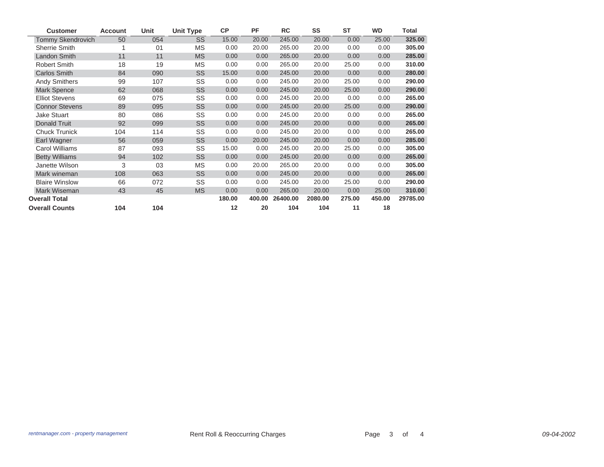| <b>Customer</b>       | <b>Account</b> | Unit | <b>Unit Type</b> | <b>CP</b> | PF     | <b>RC</b> | SS      | <b>ST</b> | <b>WD</b> | Total    |
|-----------------------|----------------|------|------------------|-----------|--------|-----------|---------|-----------|-----------|----------|
| Tommy Skendrovich     | 50             | 054  | SS               | 15.00     | 20.00  | 245.00    | 20.00   | 0.00      | 25.00     | 325.00   |
| <b>Sherrie Smith</b>  |                | 01   | MS               | 0.00      | 20.00  | 265.00    | 20.00   | 0.00      | 0.00      | 305.00   |
| <b>Landon Smith</b>   | 11             | 11   | <b>MS</b>        | 0.00      | 0.00   | 265.00    | 20.00   | 0.00      | 0.00      | 285.00   |
| Robert Smith          | 18             | 19   | <b>MS</b>        | 0.00      | 0.00   | 265.00    | 20.00   | 25.00     | 0.00      | 310.00   |
| <b>Carlos Smith</b>   | 84             | 090  | SS               | 15.00     | 0.00   | 245.00    | 20.00   | 0.00      | 0.00      | 280.00   |
| <b>Andy Smithers</b>  | 99             | 107  | SS               | 0.00      | 0.00   | 245.00    | 20.00   | 25.00     | 0.00      | 290.00   |
| <b>Mark Spence</b>    | 62             | 068  | SS               | 0.00      | 0.00   | 245.00    | 20.00   | 25.00     | 0.00      | 290.00   |
| <b>Elliot Stevens</b> | 69             | 075  | SS               | 0.00      | 0.00   | 245.00    | 20.00   | 0.00      | 0.00      | 265.00   |
| <b>Connor Stevens</b> | 89             | 095  | SS               | 0.00      | 0.00   | 245.00    | 20.00   | 25.00     | 0.00      | 290.00   |
| <b>Jake Stuart</b>    | 80             | 086  | SS               | 0.00      | 0.00   | 245.00    | 20.00   | 0.00      | 0.00      | 265.00   |
| <b>Donald Truit</b>   | 92             | 099  | SS               | 0.00      | 0.00   | 245.00    | 20.00   | 0.00      | 0.00      | 265.00   |
| <b>Chuck Trunick</b>  | 104            | 114  | SS               | 0.00      | 0.00   | 245.00    | 20.00   | 0.00      | 0.00      | 265.00   |
| Earl Wagner           | 56             | 059  | SS               | 0.00      | 20.00  | 245.00    | 20.00   | 0.00      | 0.00      | 285.00   |
| Carol Williams        | 87             | 093  | SS               | 15.00     | 0.00   | 245.00    | 20.00   | 25.00     | 0.00      | 305.00   |
| <b>Betty Williams</b> | 94             | 102  | SS               | 0.00      | 0.00   | 245.00    | 20.00   | 0.00      | 0.00      | 265.00   |
| Janette Wilson        | 3              | 03   | <b>MS</b>        | 0.00      | 20.00  | 265.00    | 20.00   | 0.00      | 0.00      | 305.00   |
| Mark wineman          | 108            | 063  | SS               | 0.00      | 0.00   | 245.00    | 20.00   | 0.00      | 0.00      | 265.00   |
| <b>Blaire Winslow</b> | 66             | 072  | SS               | 0.00      | 0.00   | 245.00    | 20.00   | 25.00     | 0.00      | 290.00   |
| Mark Wiseman          | 43             | 45   | <b>MS</b>        | 0.00      | 0.00   | 265.00    | 20.00   | 0.00      | 25.00     | 310.00   |
| <b>Overall Total</b>  |                |      |                  | 180.00    | 400.00 | 26400.00  | 2080.00 | 275.00    | 450.00    | 29785.00 |
| <b>Overall Counts</b> | 104            | 104  |                  | 12        | 20     | 104       | 104     | 11        | 18        |          |